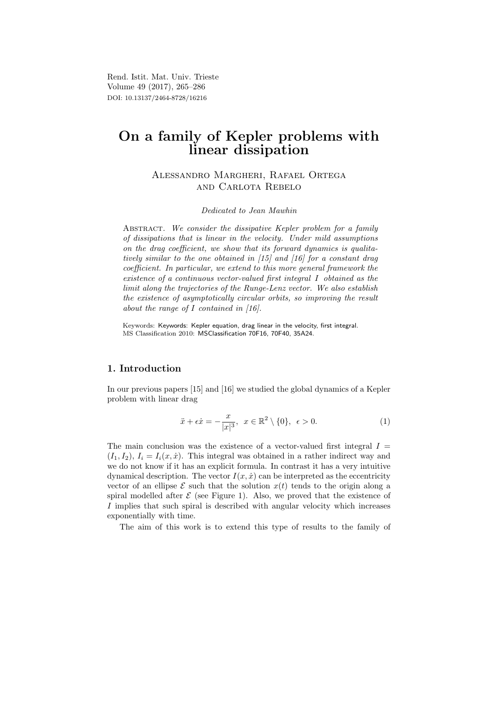Rend. Istit. Mat. Univ. Trieste Volume 49 (2017), 265–286 DOI: 10.13137/2464-8728/16216

# On a family of Kepler problems with linear dissipation

# Alessandro Margheri, Rafael Ortega and Carlota Rebelo

## Dedicated to Jean Mawhin

ABSTRACT. We consider the dissipative Kepler problem for a family of dissipations that is linear in the velocity. Under mild assumptions on the drag coefficient, we show that its forward dynamics is qualitatively similar to the one obtained in [15] and [16] for a constant drag coefficient. In particular, we extend to this more general framework the existence of a continuous vector-valued first integral I obtained as the limit along the trajectories of the Runge-Lenz vector. We also establish the existence of asymptotically circular orbits, so improving the result about the range of I contained in [16].

Keywords: Keywords: Kepler equation, drag linear in the velocity, first integral. MS Classification 2010: MSClassification 70F16, 70F40, 35A24.

# 1. Introduction

In our previous papers [15] and [16] we studied the global dynamics of a Kepler problem with linear drag

$$
\ddot{x} + \epsilon \dot{x} = -\frac{x}{|x|^3}, \ \ x \in \mathbb{R}^2 \setminus \{0\}, \ \ \epsilon > 0.
$$
 (1)

The main conclusion was the existence of a vector-valued first integral  $I =$  $(I_1, I_2), I_i = I_i(x, \dot{x})$ . This integral was obtained in a rather indirect way and we do not know if it has an explicit formula. In contrast it has a very intuitive dynamical description. The vector  $I(x, \dot{x})$  can be interpreted as the eccentricity vector of an ellipse  $\mathcal E$  such that the solution  $x(t)$  tends to the origin along a spiral modelled after  $\mathcal E$  (see Figure 1). Also, we proved that the existence of I implies that such spiral is described with angular velocity which increases exponentially with time.

The aim of this work is to extend this type of results to the family of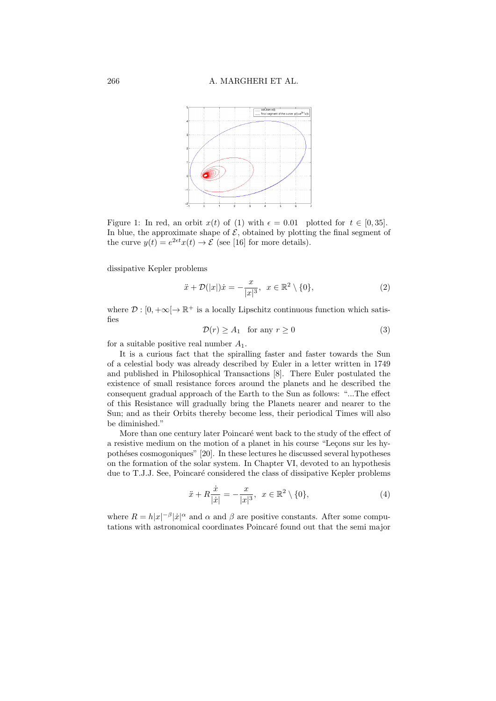

Figure 1: In red, an orbit  $x(t)$  of (1) with  $\epsilon = 0.01$  plotted for  $t \in [0, 35]$ . In blue, the approximate shape of  $\mathcal{E}$ , obtained by plotting the final segment of the curve  $y(t) = e^{2\epsilon t}x(t) \rightarrow \mathcal{E}$  (see [16] for more details).

dissipative Kepler problems

$$
\ddot{x} + \mathcal{D}(|x|) \dot{x} = -\frac{x}{|x|^3}, \quad x \in \mathbb{R}^2 \setminus \{0\},\tag{2}
$$

where  $\mathcal{D} : [0, +\infty[ \to \mathbb{R}^+ \text{ is a locally Lipschitz continuous function which satisfies } \mathcal{D} : [0, +\infty[ \to \mathbb{R}^+ \text{ is a locally Lipschitz continuous function, which is a linear combination of the following.}$ fies

$$
\mathcal{D}(r) \ge A_1 \quad \text{for any } r \ge 0 \tag{3}
$$

for a suitable positive real number  $A_1$ .

It is a curious fact that the spiralling faster and faster towards the Sun of a celestial body was already described by Euler in a letter written in 1749 and published in Philosophical Transactions [8]. There Euler postulated the existence of small resistance forces around the planets and he described the consequent gradual approach of the Earth to the Sun as follows: "...The effect of this Resistance will gradually bring the Planets nearer and nearer to the Sun; and as their Orbits thereby become less, their periodical Times will also be diminished."

More than one century later Poincaré went back to the study of the effect of a resistive medium on the motion of a planet in his course "Lecons sur les hypothéses cosmogoniques" [20]. In these lectures he discussed several hypotheses on the formation of the solar system. In Chapter VI, devoted to an hypothesis due to T.J.J. See, Poincaré considered the class of dissipative Kepler problems

$$
\ddot{x} + R \frac{\dot{x}}{|\dot{x}|} = -\frac{x}{|x|^3}, \ \ x \in \mathbb{R}^2 \setminus \{0\},\tag{4}
$$

where  $R = h|x|^{-\beta} |\dot{x}|^{\alpha}$  and  $\alpha$  and  $\beta$  are positive constants. After some computations with astronomical coordinates Poincaré found out that the semi major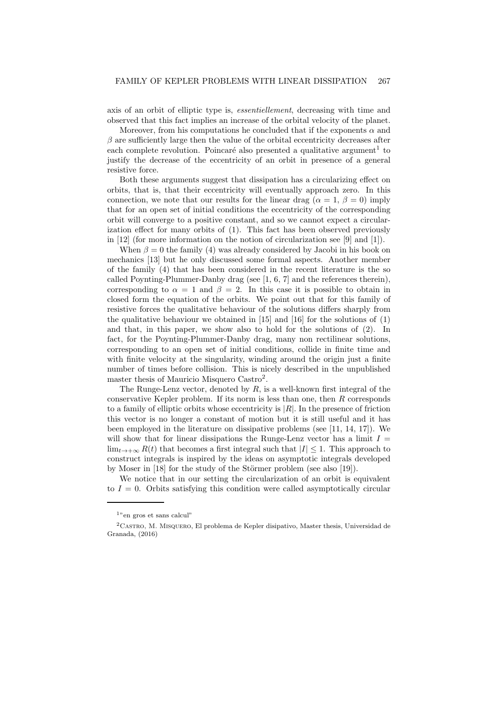axis of an orbit of elliptic type is, essentiellement, decreasing with time and observed that this fact implies an increase of the orbital velocity of the planet.

Moreover, from his computations he concluded that if the exponents  $\alpha$  and  $\beta$  are sufficiently large then the value of the orbital eccentricity decreases after each complete revolution. Poincaré also presented a qualitative argument<sup>1</sup> to justify the decrease of the eccentricity of an orbit in presence of a general resistive force.

Both these arguments suggest that dissipation has a circularizing effect on orbits, that is, that their eccentricity will eventually approach zero. In this connection, we note that our results for the linear drag ( $\alpha = 1, \beta = 0$ ) imply that for an open set of initial conditions the eccentricity of the corresponding orbit will converge to a positive constant, and so we cannot expect a circularization effect for many orbits of (1). This fact has been observed previously in [12] (for more information on the notion of circularization see [9] and [1]).

When  $\beta = 0$  the family (4) was already considered by Jacobi in his book on mechanics [13] but he only discussed some formal aspects. Another member of the family (4) that has been considered in the recent literature is the so called Poynting-Plummer-Danby drag (see  $[1, 6, 7]$  and the references therein), corresponding to  $\alpha = 1$  and  $\beta = 2$ . In this case it is possible to obtain in closed form the equation of the orbits. We point out that for this family of resistive forces the qualitative behaviour of the solutions differs sharply from the qualitative behaviour we obtained in  $[15]$  and  $[16]$  for the solutions of  $(1)$ and that, in this paper, we show also to hold for the solutions of (2). In fact, for the Poynting-Plummer-Danby drag, many non rectilinear solutions, corresponding to an open set of initial conditions, collide in finite time and with finite velocity at the singularity, winding around the origin just a finite number of times before collision. This is nicely described in the unpublished master thesis of Mauricio Misquero Castro<sup>2</sup>.

The Runge-Lenz vector, denoted by  $R$ , is a well-known first integral of the conservative Kepler problem. If its norm is less than one, then  $R$  corresponds to a family of elliptic orbits whose eccentricity is  $|R|$ . In the presence of friction this vector is no longer a constant of motion but it is still useful and it has been employed in the literature on dissipative problems (see [11, 14, 17]). We will show that for linear dissipations the Runge-Lenz vector has a limit  $I =$  $\lim_{t\to+\infty} R(t)$  that becomes a first integral such that  $|I| \leq 1$ . This approach to construct integrals is inspired by the ideas on asymptotic integrals developed by Moser in  $[18]$  for the study of the Störmer problem (see also  $[19]$ ).

We notice that in our setting the circularization of an orbit is equivalent to  $I = 0$ . Orbits satisfying this condition were called asymptotically circular

<sup>1</sup>"en gros et sans calcul"

 ${}^{2}$ CASTRO, M. MISQUERO, El problema de Kepler disipativo, Master thesis, Universidad de Granada, (2016)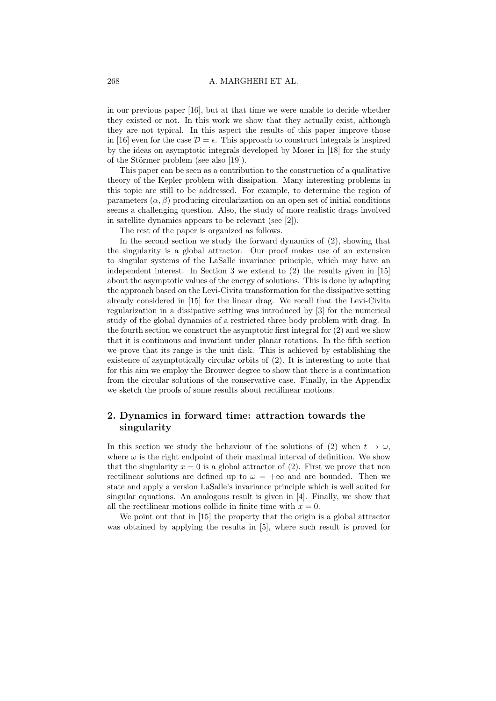in our previous paper [16], but at that time we were unable to decide whether they existed or not. In this work we show that they actually exist, although they are not typical. In this aspect the results of this paper improve those in [16] even for the case  $\mathcal{D} = \epsilon$ . This approach to construct integrals is inspired by the ideas on asymptotic integrals developed by Moser in [18] for the study of the Störmer problem (see also  $[19]$ ).

This paper can be seen as a contribution to the construction of a qualitative theory of the Kepler problem with dissipation. Many interesting problems in this topic are still to be addressed. For example, to determine the region of parameters  $(\alpha, \beta)$  producing circularization on an open set of initial conditions seems a challenging question. Also, the study of more realistic drags involved in satellite dynamics appears to be relevant (see [2]).

The rest of the paper is organized as follows.

In the second section we study the forward dynamics of (2), showing that the singularity is a global attractor. Our proof makes use of an extension to singular systems of the LaSalle invariance principle, which may have an independent interest. In Section 3 we extend to (2) the results given in [15] about the asymptotic values of the energy of solutions. This is done by adapting the approach based on the Levi-Civita transformation for the dissipative setting already considered in [15] for the linear drag. We recall that the Levi-Civita regularization in a dissipative setting was introduced by [3] for the numerical study of the global dynamics of a restricted three body problem with drag. In the fourth section we construct the asymptotic first integral for (2) and we show that it is continuous and invariant under planar rotations. In the fifth section we prove that its range is the unit disk. This is achieved by establishing the existence of asymptotically circular orbits of (2). It is interesting to note that for this aim we employ the Brouwer degree to show that there is a continuation from the circular solutions of the conservative case. Finally, in the Appendix we sketch the proofs of some results about rectilinear motions.

# 2. Dynamics in forward time: attraction towards the singularity

In this section we study the behaviour of the solutions of (2) when  $t \to \omega$ , where  $\omega$  is the right endpoint of their maximal interval of definition. We show that the singularity  $x = 0$  is a global attractor of (2). First we prove that non rectilinear solutions are defined up to  $\omega = +\infty$  and are bounded. Then we state and apply a version LaSalle's invariance principle which is well suited for singular equations. An analogous result is given in [4]. Finally, we show that all the rectilinear motions collide in finite time with  $x = 0$ .

We point out that in [15] the property that the origin is a global attractor was obtained by applying the results in [5], where such result is proved for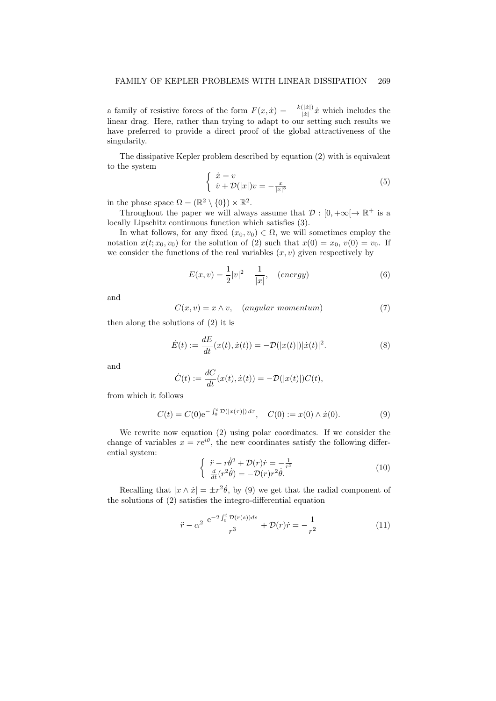a family of resistive forces of the form  $F(x, \dot{x}) = -\frac{k(|\dot{x}|)}{|\dot{x}|}$  $\frac{(|x|)}{|x|} \dot{x}$  which includes the linear drag. Here, rather than trying to adapt to our setting such results we have preferred to provide a direct proof of the global attractiveness of the singularity.

The dissipative Kepler problem described by equation (2) with is equivalent to the system

$$
\begin{cases} \n\dot{x} = v \\
\dot{v} + \mathcal{D}(|x|)v = -\frac{x}{|x|^3}\n\end{cases} \tag{5}
$$

in the phase space  $\Omega = (\mathbb{R}^2 \setminus \{0\}) \times \mathbb{R}^2$ .

Throughout the paper we will always assume that  $\mathcal{D} : [0, +\infty[ \to \mathbb{R}^+ \text{ is a}]$ locally Lipschitz continuous function which satisfies (3).

In what follows, for any fixed  $(x_0, v_0) \in \Omega$ , we will sometimes employ the notation  $x(t; x_0, v_0)$  for the solution of (2) such that  $x(0) = x_0, v(0) = v_0$ . If we consider the functions of the real variables  $(x, v)$  given respectively by

$$
E(x,v) = \frac{1}{2}|v|^2 - \frac{1}{|x|}, \quad (energy)
$$
 (6)

and

$$
C(x, v) = x \wedge v, \quad (angular \ momentum)
$$
\n<sup>(7)</sup>

then along the solutions of (2) it is

$$
\dot{E}(t) := \frac{dE}{dt}(x(t), \dot{x}(t)) = -\mathcal{D}(|x(t)|) |\dot{x}(t)|^2.
$$
 (8)

and

$$
\dot{C}(t) := \frac{dC}{dt}(x(t), \dot{x}(t)) = -\mathcal{D}(|x(t)|)C(t),
$$

from which it follows

$$
C(t) = C(0)e^{-\int_0^t \mathcal{D}(|x(\tau)|) d\tau}, \quad C(0) := x(0) \wedge \dot{x}(0). \tag{9}
$$

We rewrite now equation (2) using polar coordinates. If we consider the change of variables  $x = re^{i\theta}$ , the new coordinates satisfy the following differential system:

$$
\begin{cases}\n\ddot{r} - r\dot{\theta}^2 + \mathcal{D}(r)\dot{r} = -\frac{1}{r^2} \\
\frac{d}{dt}(r^2\dot{\theta}) = -\mathcal{D}(r)r^2\dot{\theta}.\n\end{cases}
$$
\n(10)

Recalling that  $|x \wedge \dot{x}| = \pm r^2 \dot{\theta}$ , by (9) we get that the radial component of the solutions of (2) satisfies the integro-differential equation

$$
\ddot{r} - \alpha^2 \frac{e^{-2 \int_0^t \mathcal{D}(r(s))ds}}{r^3} + \mathcal{D}(r)\dot{r} = -\frac{1}{r^2}
$$
 (11)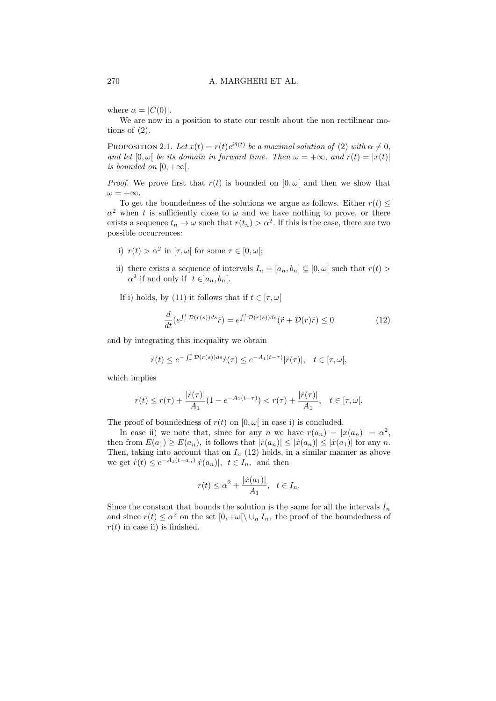where  $\alpha = |C(0)|$ .

We are now in a position to state our result about the non rectilinear motions of (2).

PROPOSITION 2.1. Let  $x(t) = r(t)e^{i\theta(t)}$  be a maximal solution of (2) with  $\alpha \neq 0$ , and let  $[0, \omega]$  be its domain in forward time. Then  $\omega = +\infty$ , and  $r(t) = |x(t)|$ is bounded on  $[0, +\infty)$ .

*Proof.* We prove first that  $r(t)$  is bounded on  $[0, \omega]$  and then we show that  $\omega = +\infty.$ 

To get the boundedness of the solutions we argue as follows. Either  $r(t) \leq$  $\alpha^2$  when t is sufficiently close to  $\omega$  and we have nothing to prove, or there exists a sequence  $t_n \to \omega$  such that  $r(t_n) > \alpha^2$ . If this is the case, there are two possible occurrences:

- i)  $r(t) > \alpha^2$  in  $[\tau, \omega]$  for some  $\tau \in [0, \omega];$
- ii) there exists a sequence of intervals  $I_n = [a_n, b_n] \subseteq [0, \omega]$  such that  $r(t) >$  $\alpha^2$  if and only if  $t \in ]a_n, b_n[$ .
- If i) holds, by (11) it follows that if  $t \in [\tau, \omega[$

$$
\frac{d}{dt}\left(e^{\int_{\tau}^{t} \mathcal{D}(r(s))ds}\dot{r}\right) = e^{\int_{\tau}^{t} \mathcal{D}(r(s))ds}(\ddot{r} + \mathcal{D}(r)\dot{r}) \le 0
$$
\n(12)

and by integrating this inequality we obtain

$$
\dot{r}(t) \le e^{-\int_{\tau}^{t} \mathcal{D}(r(s))ds} \dot{r}(\tau) \le e^{-A_1(t-\tau)} |\dot{r}(\tau)|, \quad t \in [\tau, \omega],
$$

which implies

$$
r(t) \le r(\tau) + \frac{|\dot{r}(\tau)|}{A_1} (1 - e^{-A_1(t - \tau)}) < r(\tau) + \frac{|\dot{r}(\tau)|}{A_1}, \quad t \in [\tau, \omega].
$$

The proof of boundedness of  $r(t)$  on  $[0, \omega]$  in case i) is concluded.

In case ii) we note that, since for any n we have  $r(a_n) = |x(a_n)| = \alpha^2$ , then from  $E(a_1) \geq E(a_n)$ , it follows that  $|r(a_n)| \leq |x(a_n)| \leq |x(a_1)|$  for any n. Then, taking into account that on  $I_n$  (12) holds, in a similar manner as above we get  $\dot{r}(t) \leq e^{-A_1(t-a_n)} |\dot{r}(a_n)|$ ,  $t \in I_n$ , and then

$$
r(t) \leq \alpha^2 + \frac{|x(a_1)|}{A_1}, \quad t \in I_n.
$$

Since the constant that bounds the solution is the same for all the intervals  $I_n$ and since  $r(t) \leq \alpha^2$  on the set  $[0, +\omega[\setminus \cup_n I_n,$  the proof of the boundedness of  $r(t)$  in case ii) is finished.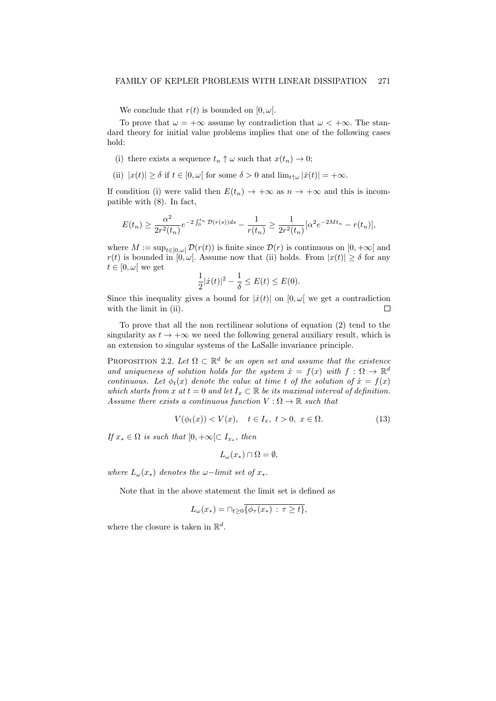We conclude that  $r(t)$  is bounded on  $[0, \omega]$ .

To prove that  $\omega = +\infty$  assume by contradiction that  $\omega < +\infty$ . The standard theory for initial value problems implies that one of the following cases hold:

- (i) there exists a sequence  $t_n \uparrow \omega$  such that  $x(t_n) \to 0$ ;
- (ii)  $|x(t)| \geq \delta$  if  $t \in [0, \omega[$  for some  $\delta > 0$  and  $\lim_{t \uparrow \omega} |\dot{x}(t)| = +\infty$ .

If condition (i) were valid then  $E(t_n) \to +\infty$  as  $n \to +\infty$  and this is incompatible with (8). In fact,

$$
E(t_n) \ge \frac{\alpha^2}{2r^2(t_n)} e^{-2\int_0^{t_n} \mathcal{D}(r(s))ds} - \frac{1}{r(t_n)} \ge \frac{1}{2r^2(t_n)} [\alpha^2 e^{-2Mt_n} - r(t_n)],
$$

where  $M := \sup_{t \in [0,\omega]} \mathcal{D}(r(t))$  is finite since  $\mathcal{D}(r)$  is continuous on  $[0, +\infty[$  and  $r(t)$  is bounded in  $[0, \omega]$ . Assume now that (ii) holds. From  $|x(t)| \geq \delta$  for any  $t \in [0, \omega[$  we get

$$
\frac{1}{2}|\dot{x}(t)|^2 - \frac{1}{\delta} \le E(t) \le E(0).
$$

Since this inequality gives a bound for  $|\dot{x}(t)|$  on  $[0, \omega]$  we get a contradiction with the limit in (ii). П

To prove that all the non rectilinear solutions of equation (2) tend to the singularity as  $t \to +\infty$  we need the following general auxiliary result, which is an extension to singular systems of the LaSalle invariance principle.

PROPOSITION 2.2. Let  $\Omega \subset \mathbb{R}^d$  be an open set and assume that the existence and uniqueness of solution holds for the system  $\dot{x} = f(x)$  with  $f: \Omega \to \mathbb{R}^d$ continuous. Let  $\phi_t(x)$  denote the value at time t of the solution of  $\dot{x} = f(x)$ which starts from x at  $t = 0$  and let  $I_x \subset \mathbb{R}$  be its maximal interval of definition. Assume there exists a continuous function  $V : \Omega \to \mathbb{R}$  such that

$$
V(\phi_t(x)) < V(x), \quad t \in I_x, \ t > 0, \ x \in \Omega. \tag{13}
$$

If  $x_* \in \Omega$  is such that  $[0, +\infty[\subset I_{x_*},$  then

$$
L_{\omega}(x_{*}) \cap \Omega = \emptyset,
$$

where  $L_{\omega}(x_{*})$  denotes the  $\omega$ -limit set of  $x_{*}$ .

Note that in the above statement the limit set is defined as

$$
L_{\omega}(x_{*}) = \bigcap_{t \geq 0} \overline{\{\phi_{\tau}(x_{*}) : \tau \geq t\}},
$$

where the closure is taken in  $\mathbb{R}^d$ .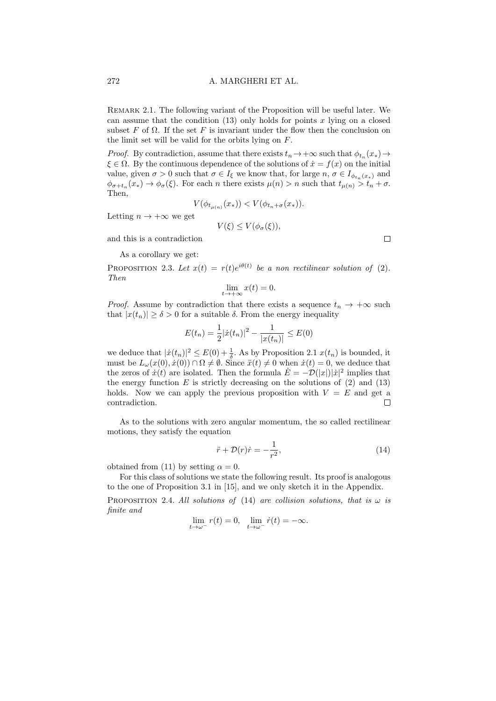Remark 2.1. The following variant of the Proposition will be useful later. We can assume that the condition  $(13)$  only holds for points x lying on a closed subset F of  $\Omega$ . If the set F is invariant under the flow then the conclusion on the limit set will be valid for the orbits lying on F.

*Proof.* By contradiction, assume that there exists  $t_n \to +\infty$  such that  $\phi_{t_n}(x_*) \to$  $\xi \in \Omega$ . By the continuous dependence of the solutions of  $\dot{x} = f(x)$  on the initial value, given  $\sigma > 0$  such that  $\sigma \in I_{\xi}$  we know that, for large  $n, \sigma \in I_{\phi_{t_n}(x_*)}$  and  $\phi_{\sigma+t_n}(x_*) \to \phi_{\sigma}(\xi)$ . For each *n* there exists  $\mu(n) > n$  such that  $t_{\mu(n)} > t_n + \sigma$ . Then,

$$
V(\phi_{t_{\mu(n)}}(x_{\ast})) < V(\phi_{t_n+\sigma}(x_{\ast})).
$$

 $V(\xi) \le V(\phi_{\sigma}(\xi)),$ 

Letting  $n \to +\infty$  we get

and this is a contradiction

As a corollary we get:

PROPOSITION 2.3. Let  $x(t) = r(t)e^{i\theta(t)}$  be a non rectilinear solution of (2). Then

$$
\lim_{t \to +\infty} x(t) = 0.
$$

*Proof.* Assume by contradiction that there exists a sequence  $t_n \to +\infty$  such that  $|x(t_n)| \geq \delta > 0$  for a suitable  $\delta$ . From the energy inequality

$$
E(t_n) = \frac{1}{2} |\dot{x}(t_n)|^2 - \frac{1}{|x(t_n)|} \le E(0)
$$

we deduce that  $|x(t_n)|^2 \leq E(0) + \frac{1}{\delta}$ . As by Proposition 2.1  $x(t_n)$  is bounded, it must be  $L_{\omega}(x(0), \dot{x}(0)) \cap \Omega \neq \emptyset$ . Since  $\ddot{x}(t) \neq 0$  when  $\dot{x}(t) = 0$ , we deduce that the zeros of  $\dot{x}(t)$  are isolated. Then the formula  $\dot{E} = -\mathcal{D}(|x|)|\dot{x}|^2$  implies that the energy function E is strictly decreasing on the solutions of  $(2)$  and  $(13)$ holds. Now we can apply the previous proposition with  $V = E$  and get a contradiction. П

As to the solutions with zero angular momentum, the so called rectilinear motions, they satisfy the equation

$$
\ddot{r} + \mathcal{D}(r)\dot{r} = -\frac{1}{r^2},\tag{14}
$$

obtained from (11) by setting  $\alpha = 0$ .

For this class of solutions we state the following result. Its proof is analogous to the one of Proposition 3.1 in [15], and we only sketch it in the Appendix.

PROPOSITION 2.4. All solutions of (14) are collision solutions, that is  $\omega$  is finite and

$$
\lim_{t \to \omega^{-}} r(t) = 0, \quad \lim_{t \to \omega^{-}} \dot{r}(t) = -\infty.
$$

 $\Box$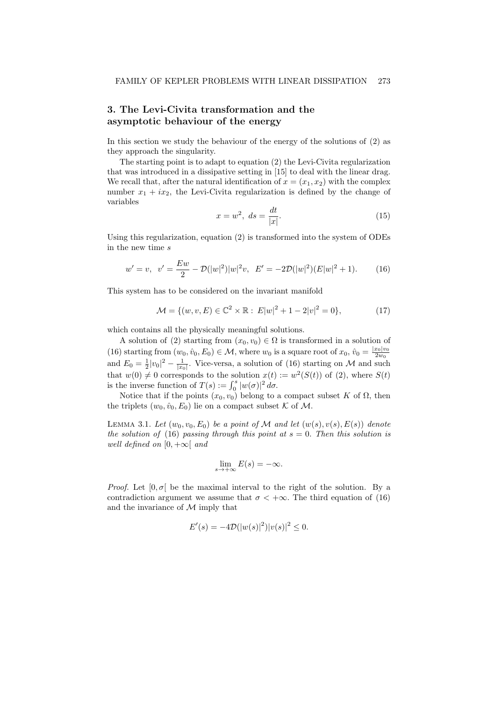# 3. The Levi-Civita transformation and the asymptotic behaviour of the energy

In this section we study the behaviour of the energy of the solutions of (2) as they approach the singularity.

The starting point is to adapt to equation (2) the Levi-Civita regularization that was introduced in a dissipative setting in [15] to deal with the linear drag. We recall that, after the natural identification of  $x = (x_1, x_2)$  with the complex number  $x_1 + ix_2$ , the Levi-Civita regularization is defined by the change of variables

$$
x = w^2, \ ds = \frac{dt}{|x|}.\tag{15}
$$

Using this regularization, equation (2) is transformed into the system of ODEs in the new time s

$$
w' = v, \quad v' = \frac{Ew}{2} - \mathcal{D}(|w|^2)|w|^2v, \quad E' = -2\mathcal{D}(|w|^2)(E|w|^2 + 1). \tag{16}
$$

This system has to be considered on the invariant manifold

$$
\mathcal{M} = \{ (w, v, E) \in \mathbb{C}^2 \times \mathbb{R} : E|w|^2 + 1 - 2|v|^2 = 0 \},\tag{17}
$$

which contains all the physically meaningful solutions.

A solution of (2) starting from  $(x_0, v_0) \in \Omega$  is transformed in a solution of (16) starting from  $(w_0, \hat{v}_0, E_0) \in \mathcal{M}$ , where  $w_0$  is a square root of  $x_0, \hat{v}_0 = \frac{|x_0|v_0}{2w_0}$  $2w_0$ and  $E_0 = \frac{1}{2}|v_0|^2 - \frac{1}{|x_0|}$ . Vice-versa, a solution of (16) starting on M and such that  $w(0) \neq 0$  corresponds to the solution  $x(t) := w^2(S(t))$  of (2), where  $S(t)$ is the inverse function of  $T(s) := \int_0^s |w(\sigma)|^2 d\sigma$ .

Notice that if the points  $(x_0, v_0)$  belong to a compact subset K of  $\Omega$ , then the triplets  $(w_0, \hat{v}_0, E_0)$  lie on a compact subset K of M.

LEMMA 3.1. Let  $(w_0, v_0, E_0)$  be a point of M and let  $(w(s), v(s), E(s))$  denote the solution of (16) passing through this point at  $s = 0$ . Then this solution is well defined on  $[0, +\infty)$  and

$$
\lim_{s \to +\infty} E(s) = -\infty.
$$

*Proof.* Let  $[0, \sigma]$  be the maximal interval to the right of the solution. By a contradiction argument we assume that  $\sigma < +\infty$ . The third equation of (16) and the invariance of  $M$  imply that

$$
E'(s) = -4\mathcal{D}(|w(s)|^2)|v(s)|^2 \le 0.
$$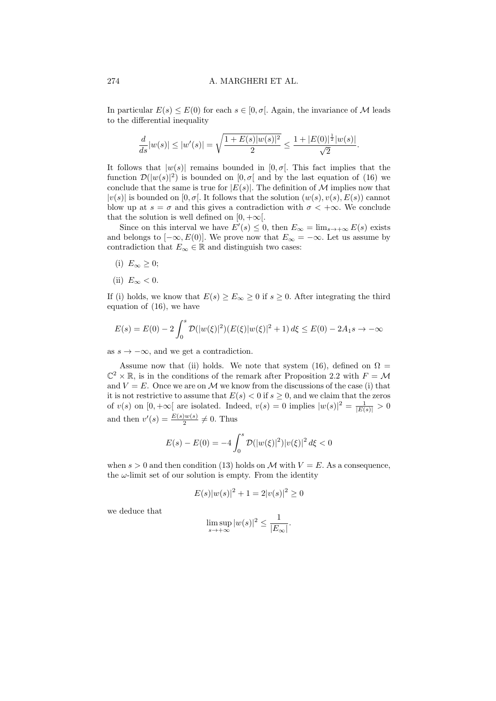In particular  $E(s) \leq E(0)$  for each  $s \in [0, \sigma]$ . Again, the invariance of M leads to the differential inequality

$$
\frac{d}{ds} |w(s)| \leq |w'(s)| = \sqrt{\frac{1+E(s)|w(s)|^2}{2}} \leq \frac{1+|E(0)|^{\frac{1}{2}}|w(s)|}{\sqrt{2}}.
$$

It follows that  $|w(s)|$  remains bounded in  $[0, \sigma]$ . This fact implies that the function  $\mathcal{D}(|w(s)|^2)$  is bounded on  $[0, \sigma]$  and by the last equation of (16) we conclude that the same is true for  $|E(s)|$ . The definition of M implies now that  $|v(s)|$  is bounded on  $[0, \sigma]$ . It follows that the solution  $(w(s), v(s), E(s))$  cannot blow up at  $s = \sigma$  and this gives a contradiction with  $\sigma < +\infty$ . We conclude that the solution is well defined on  $[0, +\infty]$ .

Since on this interval we have  $E'(s) \leq 0$ , then  $E_{\infty} = \lim_{s \to +\infty} E(s)$  exists and belongs to  $[-\infty, E(0)]$ . We prove now that  $E_{\infty} = -\infty$ . Let us assume by contradiction that  $E_{\infty} \in \mathbb{R}$  and distinguish two cases:

- (i)  $E_{\infty} \geq 0$ ;
- (ii)  $E_{\infty} < 0$ .

If (i) holds, we know that  $E(s) \ge E_{\infty} \ge 0$  if  $s \ge 0$ . After integrating the third equation of (16), we have

$$
E(s) = E(0) - 2 \int_0^s \mathcal{D}(|w(\xi)|^2) (E(\xi)|w(\xi)|^2 + 1) d\xi \le E(0) - 2A_1s \to -\infty
$$

as  $s \to -\infty$ , and we get a contradiction.

Assume now that (ii) holds. We note that system (16), defined on  $\Omega =$  $\mathbb{C}^2 \times \mathbb{R}$ , is in the conditions of the remark after Proposition 2.2 with  $F = \mathcal{M}$ and  $V = E$ . Once we are on M we know from the discussions of the case (i) that it is not restrictive to assume that  $E(s) < 0$  if  $s \geq 0$ , and we claim that the zeros of  $v(s)$  on  $[0, +\infty[$  are isolated. Indeed,  $v(s) = 0$  implies  $|w(s)|^2 = \frac{1}{|E(s)|} > 0$ and then  $v'(s) = \frac{E(s)w(s)}{2} \neq 0$ . Thus

$$
E(s) - E(0) = -4 \int_0^s \mathcal{D}(|w(\xi)|^2) |v(\xi)|^2 d\xi < 0
$$

when  $s > 0$  and then condition (13) holds on M with  $V = E$ . As a consequence, the  $\omega$ -limit set of our solution is empty. From the identity

$$
E(s)|w(s)|^2 + 1 = 2|v(s)|^2 \ge 0
$$

we deduce that

$$
\limsup_{s \to +\infty} |w(s)|^2 \le \frac{1}{|E_{\infty}|}.
$$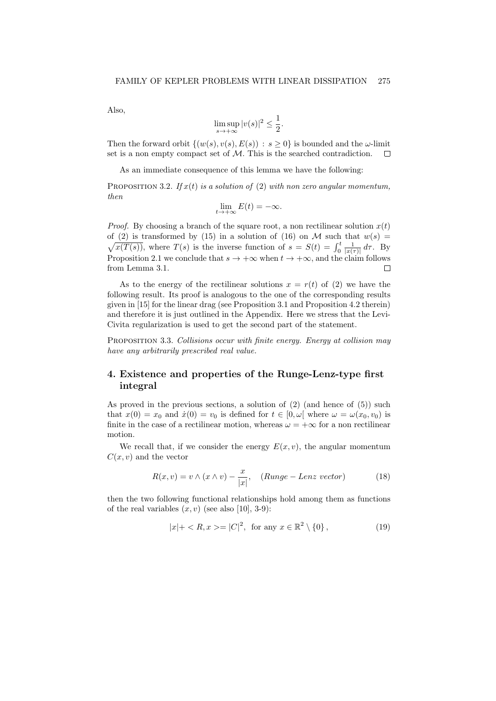Also,

$$
\limsup_{s \to +\infty} |v(s)|^2 \le \frac{1}{2}.
$$

Then the forward orbit  $\{(w(s), v(s), E(s)) : s > 0\}$  is bounded and the  $\omega$ -limit set is a non empty compact set of M. This is the searched contradiction.  $\Box$ 

As an immediate consequence of this lemma we have the following:

PROPOSITION 3.2. If  $x(t)$  is a solution of (2) with non zero angular momentum, then

$$
\lim_{t \to +\infty} E(t) = -\infty.
$$

*Proof.* By choosing a branch of the square root, a non rectilinear solution  $x(t)$ of (2) is transformed by (15) in a solution of (16) on M such that  $w(s) =$  $\sqrt{x(T(s))}$ , where  $T(s)$  is the inverse function of  $s = S(t) = \int_0^t \frac{1}{|x(\tau)|} d\tau$ . By Proposition 2.1 we conclude that  $s \to +\infty$  when  $t \to +\infty$ , and the claim follows from Lemma 3.1.  $\Box$ 

As to the energy of the rectilinear solutions  $x = r(t)$  of (2) we have the following result. Its proof is analogous to the one of the corresponding results given in [15] for the linear drag (see Proposition 3.1 and Proposition 4.2 therein) and therefore it is just outlined in the Appendix. Here we stress that the Levi-Civita regularization is used to get the second part of the statement.

PROPOSITION 3.3. Collisions occur with finite energy. Energy at collision may have any arbitrarily prescribed real value.

# 4. Existence and properties of the Runge-Lenz-type first integral

As proved in the previous sections, a solution of (2) (and hence of (5)) such that  $x(0) = x_0$  and  $\dot{x}(0) = v_0$  is defined for  $t \in [0, \omega]$  where  $\omega = \omega(x_0, v_0)$  is finite in the case of a rectilinear motion, whereas  $\omega = +\infty$  for a non rectilinear motion.

We recall that, if we consider the energy  $E(x, v)$ , the angular momentum  $C(x, v)$  and the vector

$$
R(x, v) = v \wedge (x \wedge v) - \frac{x}{|x|}, \quad (Runge - Lenz \ vector)
$$
 (18)

then the two following functional relationships hold among them as functions of the real variables  $(x, v)$  (see also [10], 3-9):

$$
|x| + \langle R, x \rangle = |C|^2, \text{ for any } x \in \mathbb{R}^2 \setminus \{0\},\tag{19}
$$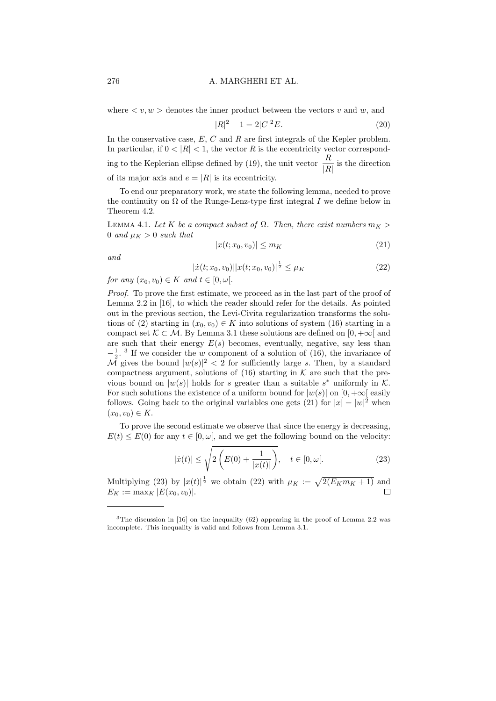where  $\langle v, w \rangle$  denotes the inner product between the vectors v and w, and

$$
|R|^2 - 1 = 2|C|^2 E.
$$
\n(20)

In the conservative case,  $E, C$  and  $R$  are first integrals of the Kepler problem. In particular, if  $0 < |R| < 1$ , the vector R is the eccentricity vector corresponding to the Keplerian ellipse defined by (19), the unit vector  $\frac{R}{|R|}$  is the direction of its major axis and  $e = |R|$  is its eccentricity.

To end our preparatory work, we state the following lemma, needed to prove the continuity on  $\Omega$  of the Runge-Lenz-type first integral I we define below in Theorem 4.2.

LEMMA 4.1. Let K be a compact subset of  $\Omega$ . Then, there exist numbers  $m_K >$ 0 and  $\mu_K > 0$  such that

$$
|x(t; x_0, v_0)| \le m_K \tag{21}
$$

and

$$
|\dot{x}(t; x_0, v_0)||x(t; x_0, v_0)|^{\frac{1}{2}} \le \mu_K \tag{22}
$$

for any  $(x_0, v_0) \in K$  and  $t \in [0, \omega]$ .

Proof. To prove the first estimate, we proceed as in the last part of the proof of Lemma 2.2 in [16], to which the reader should refer for the details. As pointed out in the previous section, the Levi-Civita regularization transforms the solutions of (2) starting in  $(x_0, v_0) \in K$  into solutions of system (16) starting in a compact set  $\mathcal{K} \subset \mathcal{M}$ . By Lemma 3.1 these solutions are defined on [0, + $\infty$ ] and are such that their energy  $E(s)$  becomes, eventually, negative, say less than  $-\frac{1}{2}$ . <sup>3</sup> If we consider the w component of a solution of (16), the invariance of  $\overline{\mathcal{M}}$  gives the bound  $|w(s)|^2 < 2$  for sufficiently large s. Then, by a standard compactness argument, solutions of  $(16)$  starting in K are such that the previous bound on  $|w(s)|$  holds for s greater than a suitable s<sup>\*</sup> uniformly in K. For such solutions the existence of a uniform bound for  $|w(s)|$  on  $[0, +\infty]$  easily follows. Going back to the original variables one gets (21) for  $|x| = |w|^2$  when  $(x_0, v_0) \in K.$ 

To prove the second estimate we observe that since the energy is decreasing,  $E(t) \leq E(0)$  for any  $t \in [0, \omega]$ , and we get the following bound on the velocity:

$$
|\dot{x}(t)| \le \sqrt{2\left(E(0) + \frac{1}{|x(t)|}\right)}, \quad t \in [0, \omega[.
$$
 (23)

Multiplying (23) by  $|x(t)|^{\frac{1}{2}}$  we obtain (22) with  $\mu_K := \sqrt{2(E_K m_K + 1)}$  and  $E_K := \max_K |E(x_0, v_0)|.$ П

<sup>&</sup>lt;sup>3</sup>The discussion in [16] on the inequality (62) appearing in the proof of Lemma 2.2 was incomplete. This inequality is valid and follows from Lemma 3.1.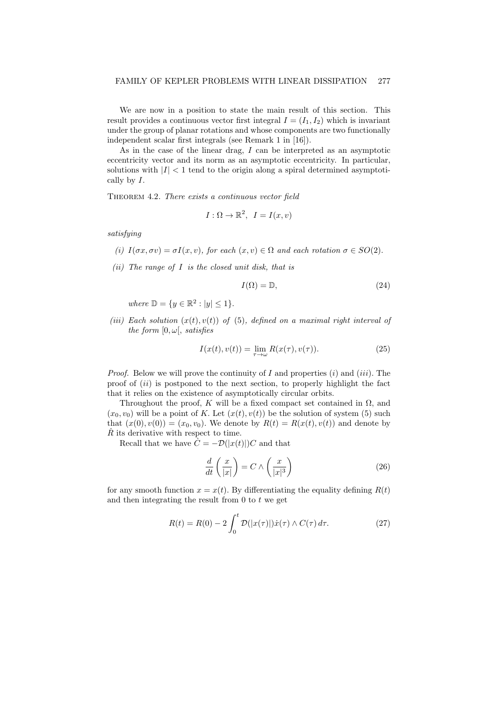We are now in a position to state the main result of this section. This result provides a continuous vector first integral  $I = (I_1, I_2)$  which is invariant under the group of planar rotations and whose components are two functionally independent scalar first integrals (see Remark 1 in [16]).

As in the case of the linear drag, I can be interpreted as an asymptotic eccentricity vector and its norm as an asymptotic eccentricity. In particular, solutions with  $|I| < 1$  tend to the origin along a spiral determined asymptotically by I.

THEOREM 4.2. There exists a continuous vector field

$$
I: \Omega \to \mathbb{R}^2, \ I = I(x, v)
$$

satisfying

- (i)  $I(\sigma x, \sigma v) = \sigma I(x, v)$ , for each  $(x, v) \in \Omega$  and each rotation  $\sigma \in SO(2)$ .
- (ii) The range of  $I$  is the closed unit disk, that is

$$
I(\Omega) = \mathbb{D},\tag{24}
$$

where  $\mathbb{D} = \{y \in \mathbb{R}^2 : |y| \leq 1\}.$ 

(iii) Each solution  $(x(t), v(t))$  of (5), defined on a maximal right interval of the form  $[0, \omega]$ , satisfies

$$
I(x(t), v(t)) = \lim_{\tau \to \omega} R(x(\tau), v(\tau)).
$$
\n(25)

*Proof.* Below we will prove the continuity of I and properties  $(i)$  and  $(iii)$ . The proof of  $(ii)$  is postponed to the next section, to properly highlight the fact that it relies on the existence of asymptotically circular orbits.

Throughout the proof, K will be a fixed compact set contained in  $\Omega$ , and  $(x_0, v_0)$  will be a point of K. Let  $(x(t), v(t))$  be the solution of system (5) such that  $(x(0), v(0)) = (x_0, v_0)$ . We denote by  $R(t) = R(x(t), v(t))$  and denote by  $\dot{R}$  its derivative with respect to time.

Recall that we have  $\dot{C} = -\mathcal{D}(|x(t)|)C$  and that

$$
\frac{d}{dt}\left(\frac{x}{|x|}\right) = C \wedge \left(\frac{x}{|x|^3}\right) \tag{26}
$$

for any smooth function  $x = x(t)$ . By differentiating the equality defining  $R(t)$ and then integrating the result from  $0$  to  $t$  we get

$$
R(t) = R(0) - 2 \int_0^t \mathcal{D}(|x(\tau)|) \dot{x}(\tau) \wedge C(\tau) d\tau.
$$
 (27)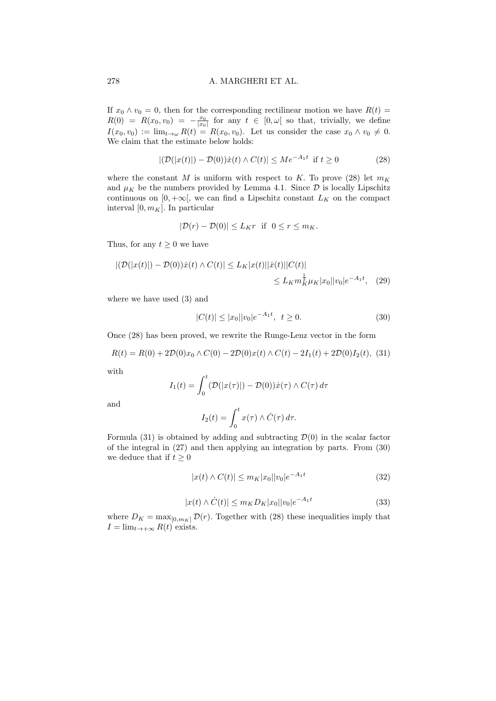If  $x_0 \wedge v_0 = 0$ , then for the corresponding rectilinear motion we have  $R(t) =$  $R(0) = R(x_0, v_0) = -\frac{x_0}{|x_0|}$  for any  $t \in [0, \omega)$  so that, trivially, we define  $I(x_0, v_0) := \lim_{t \to \omega} R(t) = R(x_0, v_0)$ . Let us consider the case  $x_0 \wedge v_0 \neq 0$ . We claim that the estimate below holds:

$$
|(\mathcal{D}(|x(t)|) - \mathcal{D}(0))\dot{x}(t) \wedge C(t)| \le Me^{-A_1 t} \text{ if } t \ge 0
$$
 (28)

where the constant M is uniform with respect to K. To prove (28) let  $m_K$ and  $\mu_K$  be the numbers provided by Lemma 4.1. Since  $\mathcal D$  is locally Lipschitz continuous on  $[0, +\infty]$ , we can find a Lipschitz constant  $L_K$  on the compact interval  $[0, m_K]$ . In particular

$$
|\mathcal{D}(r) - \mathcal{D}(0)| \le L_K r \quad \text{if} \quad 0 \le r \le m_K.
$$

Thus, for any  $t > 0$  we have

$$
|(\mathcal{D}(|x(t)|) - \mathcal{D}(0))\dot{x}(t) \wedge C(t)| \le L_K |x(t)| |\dot{x}(t)| |C(t)|
$$
  

$$
\le L_K m_K^{\frac{1}{2}} \mu_K |x_0| |v_0| e^{-A_1 t}, \quad (29)
$$

where we have used (3) and

$$
|C(t)| \le |x_0||v_0|e^{-A_1t}, \ t \ge 0. \tag{30}
$$

Once (28) has been proved, we rewrite the Runge-Lenz vector in the form

$$
R(t) = R(0) + 2\mathcal{D}(0)x_0 \wedge C(0) - 2\mathcal{D}(0)x(t) \wedge C(t) - 2I_1(t) + 2\mathcal{D}(0)I_2(t),
$$
 (31)

with

$$
I_1(t) = \int_0^t (\mathcal{D}(|x(\tau)|) - \mathcal{D}(0))\dot{x}(\tau) \wedge C(\tau) d\tau
$$

and

$$
I_2(t) = \int_0^t x(\tau) \wedge \dot{C}(\tau) d\tau.
$$

Formula (31) is obtained by adding and subtracting  $\mathcal{D}(0)$  in the scalar factor of the integral in (27) and then applying an integration by parts. From (30) we deduce that if  $t \geq 0$ 

$$
|x(t) \wedge C(t)| \le m_K |x_0| |v_0| e^{-A_1 t}
$$
\n(32)

$$
|x(t) \wedge \dot{C}(t)| \le m_K D_K |x_0| |v_0| e^{-A_1 t}
$$
\n(33)

where  $D_K = \max_{[0,m_K]} \mathcal{D}(r)$ . Together with (28) these inequalities imply that  $I = \lim_{t \to +\infty} R(t)$  exists.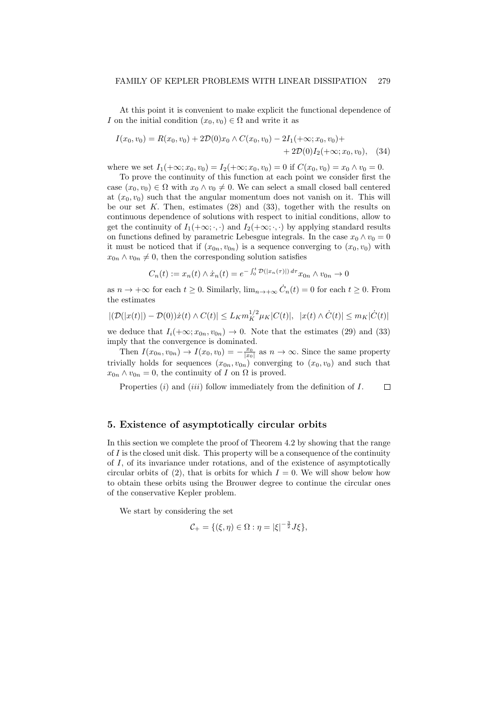At this point it is convenient to make explicit the functional dependence of I on the initial condition  $(x_0, v_0) \in \Omega$  and write it as

$$
I(x_0, v_0) = R(x_0, v_0) + 2\mathcal{D}(0)x_0 \wedge C(x_0, v_0) - 2I_1(+\infty; x_0, v_0) ++ 2\mathcal{D}(0)I_2(+\infty; x_0, v_0), \quad (34)
$$

where we set  $I_1(+\infty; x_0, v_0) = I_2(+\infty; x_0, v_0) = 0$  if  $C(x_0, v_0) = x_0 \wedge v_0 = 0$ .

To prove the continuity of this function at each point we consider first the case  $(x_0, v_0) \in \Omega$  with  $x_0 \wedge v_0 \neq 0$ . We can select a small closed ball centered at  $(x_0, v_0)$  such that the angular momentum does not vanish on it. This will be our set  $K$ . Then, estimates  $(28)$  and  $(33)$ , together with the results on continuous dependence of solutions with respect to initial conditions, allow to get the continuity of  $I_1(+\infty;\cdot,\cdot)$  and  $I_2(+\infty;\cdot,\cdot)$  by applying standard results on functions defined by parametric Lebesgue integrals. In the case  $x_0 \wedge v_0 = 0$ it must be noticed that if  $(x_{0n}, v_{0n})$  is a sequence converging to  $(x_0, v_0)$  with  $x_{0n} \wedge v_{0n} \neq 0$ , then the corresponding solution satisfies

$$
C_n(t) := x_n(t) \wedge \dot{x}_n(t) = e^{-\int_0^t \mathcal{D}(|x_n(\tau)|) d\tau} x_{0n} \wedge v_{0n} \to 0
$$

as  $n \to +\infty$  for each  $t \geq 0$ . Similarly,  $\lim_{n \to +\infty} \dot{C}_n(t) = 0$  for each  $t \geq 0$ . From the estimates

$$
|(\mathcal{D}(|x(t)|) - \mathcal{D}(0))\dot{x}(t) \wedge C(t)| \le L_K m_K^{1/2} \mu_K |C(t)|, \ \ |x(t) \wedge \dot{C}(t)| \le m_K |\dot{C}(t)|
$$

we deduce that  $I_i(+\infty; x_{0n}, v_{0n}) \to 0$ . Note that the estimates (29) and (33) imply that the convergence is dominated.

Then  $I(x_{0n}, v_{0n}) \to I(x_0, v_0) = -\frac{x_0}{|x_0|}$  as  $n \to \infty$ . Since the same property trivially holds for sequences  $(x_{0n}, v_{0n})$  converging to  $(x_0, v_0)$  and such that  $x_{0n} \wedge v_{0n} = 0$ , the continuity of I on  $\Omega$  is proved.

Properties  $(i)$  and  $(iii)$  follow immediately from the definition of  $I$ .  $\Box$ 

## 5. Existence of asymptotically circular orbits

In this section we complete the proof of Theorem 4.2 by showing that the range of  $I$  is the closed unit disk. This property will be a consequence of the continuity of I, of its invariance under rotations, and of the existence of asymptotically circular orbits of (2), that is orbits for which  $I = 0$ . We will show below how to obtain these orbits using the Brouwer degree to continue the circular ones of the conservative Kepler problem.

We start by considering the set

$$
\mathcal{C}_{+} = \{(\xi, \eta) \in \Omega : \eta = |\xi|^{-\frac{3}{2}} J \xi\},\
$$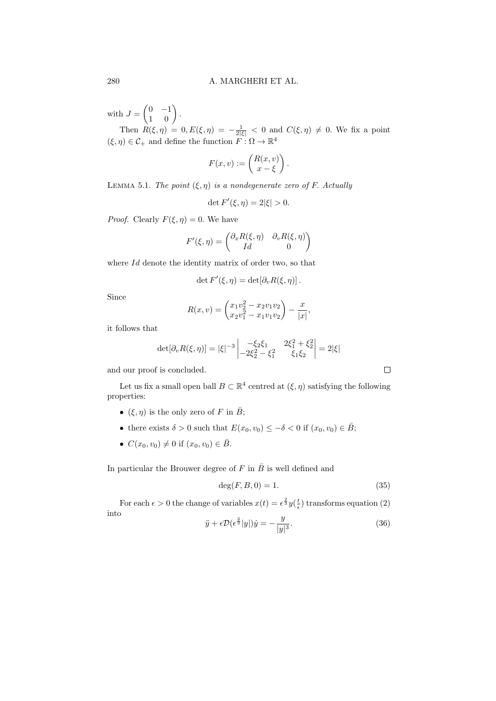with  $J = \begin{pmatrix} 0 & -1 \\ 1 & 0 \end{pmatrix}$ .

Then  $R(\xi, \eta) = 0, E(\xi, \eta) = -\frac{1}{2|\xi|} < 0$  and  $C(\xi, \eta) \neq 0$ . We fix a point  $(\xi, \eta) \in \mathcal{C}_+$  and define the function  $F: \Omega \to \mathbb{R}^4$ 

$$
F(x,v) := \begin{pmatrix} R(x,v) \\ x - \xi \end{pmatrix}.
$$

LEMMA 5.1. The point  $(\xi, \eta)$  is a nondegenerate zero of F. Actually

$$
\det F'(\xi, \eta) = 2|\xi| > 0.
$$

*Proof.* Clearly  $F(\xi, \eta) = 0$ . We have

$$
F'(\xi, \eta) = \begin{pmatrix} \partial_x R(\xi, \eta) & \partial_v R(\xi, \eta) \\ Id & 0 \end{pmatrix}
$$

where Id denote the identity matrix of order two, so that

$$
\det F'(\xi, \eta) = \det[\partial_v R(\xi, \eta)].
$$

Since

$$
R(x,v) = \begin{pmatrix} x_1v_2^2 - x_2v_1v_2 \\ x_2v_1^2 - x_1v_1v_2 \end{pmatrix} - \frac{x}{|x|},
$$

it follows that

$$
\det[\partial_v R(\xi, \eta)] = |\xi|^{-3} \begin{vmatrix} -\xi_2 \xi_1 & 2\xi_1^2 + \xi_2^2 \\ -2\xi_2^2 - \xi_1^2 & \xi_1 \xi_2 \end{vmatrix} = 2|\xi|
$$

and our proof is concluded.

Let us fix a small open ball  $B \subset \mathbb{R}^4$  centred at  $(\xi, \eta)$  satisfying the following properties:

- ( $\xi, \eta$ ) is the only zero of F in  $\overline{B}$ ;
- there exists  $\delta > 0$  such that  $E(x_0, v_0) \leq -\delta < 0$  if  $(x_0, v_0) \in \overline{B}$ ;
- $C(x_0, v_0) \neq 0$  if  $(x_0, v_0) \in \overline{B}$ .

In particular the Brouwer degree of  $F$  in  $\overline{B}$  is well defined and

$$
\deg(F, B, 0) = 1. \tag{35}
$$

For each  $\epsilon > 0$  the change of variables  $x(t) = \epsilon^{\frac{2}{3}} y(\frac{t}{\epsilon})$  transforms equation (2) into

$$
\ddot{y} + \epsilon \mathcal{D}(\epsilon^{\frac{2}{3}}|y|)\dot{y} = -\frac{y}{|y|^3}.
$$
\n(36)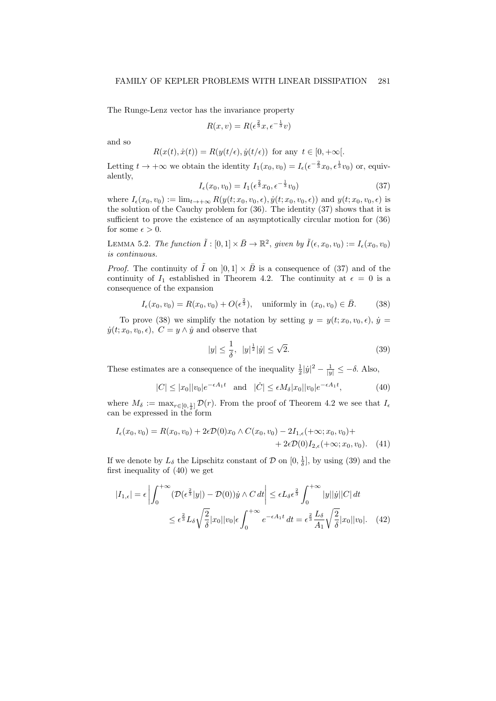The Runge-Lenz vector has the invariance property

$$
R(x,v) = R(\epsilon^{\frac{2}{3}}x, \epsilon^{-\frac{1}{3}}v)
$$

and so

$$
R(x(t), \dot{x}(t)) = R(y(t/\epsilon), \dot{y}(t/\epsilon))
$$
 for any  $t \in [0, +\infty]$ .

Letting  $t \to +\infty$  we obtain the identity  $I_1(x_0, v_0) = I_\epsilon(\epsilon^{-\frac{2}{3}}x_0, \epsilon^{\frac{1}{3}}v_0)$  or, equivalently, 2

$$
I_{\epsilon}(x_0, v_0) = I_1(\epsilon^{\frac{2}{3}} x_0, \epsilon^{-\frac{1}{3}} v_0)
$$
\n(37)

where  $I_{\epsilon}(x_0, v_0) := \lim_{t \to +\infty} R(y(t; x_0, v_0, \epsilon), \dot{y}(t; x_0, v_0, \epsilon))$  and  $y(t; x_0, v_0, \epsilon)$  is the solution of the Cauchy problem for (36). The identity (37) shows that it is sufficient to prove the existence of an asymptotically circular motion for (36) for some  $\epsilon > 0$ .

LEMMA 5.2. The function  $\tilde{I} : [0,1] \times \bar{B} \to \mathbb{R}^2$ , given by  $\tilde{I}(\epsilon, x_0, v_0) := I_{\epsilon}(x_0, v_0)$ is continuous.

*Proof.* The continuity of  $\tilde{I}$  on  $[0, 1] \times \bar{B}$  is a consequence of (37) and of the continuity of  $I_1$  established in Theorem 4.2. The continuity at  $\epsilon = 0$  is a consequence of the expansion

$$
I_{\epsilon}(x_0, v_0) = R(x_0, v_0) + O(\epsilon^{\frac{2}{3}}), \text{ uniformly in } (x_0, v_0) \in \bar{B}.
$$
 (38)

To prove (38) we simplify the notation by setting  $y = y(t; x_0, v_0, \epsilon)$ ,  $\dot{y} =$  $\dot{y}(t; x_0, v_0, \epsilon)$ ,  $C = y \wedge \dot{y}$  and observe that

$$
|y| \le \frac{1}{\delta}, \ |y|^{\frac{1}{2}}|y| \le \sqrt{2}.\tag{39}
$$

These estimates are a consequence of the inequality  $\frac{1}{2}|\dot{y}|^2 - \frac{1}{|y|} \leq -\delta$ . Also,

$$
|C| \le |x_0||v_0|e^{-\epsilon A_1 t} \quad \text{and} \quad |\dot{C}| \le \epsilon M_\delta |x_0||v_0|e^{-\epsilon A_1 t}, \tag{40}
$$

where  $M_{\delta} := \max_{r \in [0, \frac{1}{\delta}]} \mathcal{D}(r)$ . From the proof of Theorem 4.2 we see that  $I_{\epsilon}$ can be expressed in the form

$$
I_{\epsilon}(x_0, v_0) = R(x_0, v_0) + 2\epsilon \mathcal{D}(0)x_0 \wedge C(x_0, v_0) - 2I_{1,\epsilon}(+\infty; x_0, v_0) +
$$
  
+ 2\epsilon \mathcal{D}(0)I\_{2,\epsilon}(+\infty; x\_0, v\_0). (41)

If we denote by  $L_{\delta}$  the Lipschitz constant of  $\mathcal{D}$  on  $[0, \frac{1}{\delta}]$ , by using (39) and the first inequality of (40) we get

$$
|I_{1,\epsilon}| = \epsilon \left| \int_0^{+\infty} (\mathcal{D}(\epsilon^{\frac{2}{3}}|y|) - \mathcal{D}(0))\dot{y} \wedge C dt \right| \le \epsilon L_\delta \epsilon^{\frac{2}{3}} \int_0^{+\infty} |y||\dot{y}||C| dt
$$
  

$$
\le \epsilon^{\frac{2}{3}} L_\delta \sqrt{\frac{2}{\delta}} |x_0||v_0|\epsilon \int_0^{+\infty} e^{-\epsilon A_1 t} dt = \epsilon^{\frac{2}{3}} \frac{L_\delta}{A_1} \sqrt{\frac{2}{\delta}} |x_0||v_0|. \quad (42)
$$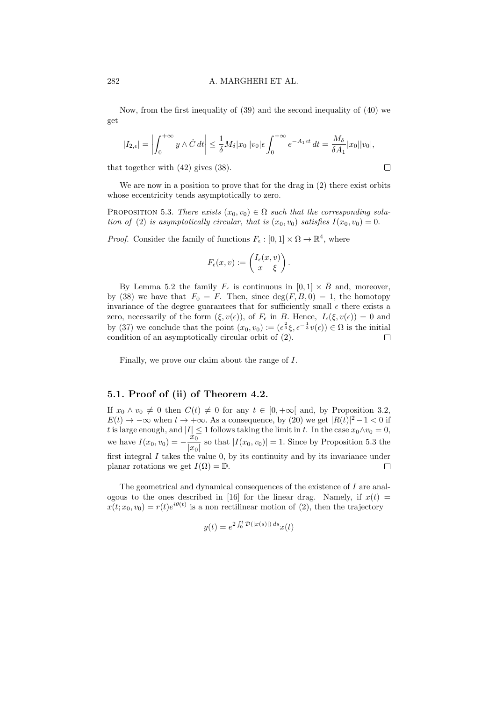Now, from the first inequality of (39) and the second inequality of (40) we get

$$
|I_{2,\epsilon}| = \left| \int_0^{+\infty} y \wedge \dot{C} dt \right| \leq \frac{1}{\delta} M_\delta |x_0| |v_0| \epsilon \int_0^{+\infty} e^{-A_1 \epsilon t} dt = \frac{M_\delta}{\delta A_1} |x_0| |v_0|,
$$

 $\Box$ 

that together with (42) gives (38).

We are now in a position to prove that for the drag in (2) there exist orbits whose eccentricity tends asymptotically to zero.

PROPOSITION 5.3. There exists  $(x_0, v_0) \in \Omega$  such that the corresponding solution of (2) is asymptotically circular, that is  $(x_0, v_0)$  satisfies  $I(x_0, v_0) = 0$ .

*Proof.* Consider the family of functions  $F_{\epsilon} : [0,1] \times \Omega \to \mathbb{R}^4$ , where

$$
F_{\epsilon}(x,v) := \begin{pmatrix} I_{\epsilon}(x,v) \\ x - \xi \end{pmatrix}.
$$

By Lemma 5.2 the family  $F_{\epsilon}$  is continuous in  $[0, 1] \times \overline{B}$  and, moreover, by (38) we have that  $F_0 = F$ . Then, since  $deg(F, B, 0) = 1$ , the homotopy invariance of the degree guarantees that for sufficiently small  $\epsilon$  there exists a zero, necessarily of the form  $(\xi, v(\epsilon))$ , of  $F_{\epsilon}$  in B. Hence,  $I_{\epsilon}(\xi, v(\epsilon)) = 0$  and by (37) we conclude that the point  $(x_0, v_0) := (\epsilon^{\frac{2}{3}} \xi, \epsilon^{-\frac{1}{3}} v(\epsilon)) \in \Omega$  is the initial condition of an asymptotically circular orbit of (2).  $\Box$ 

Finally, we prove our claim about the range of I.

## 5.1. Proof of (ii) of Theorem 4.2.

If  $x_0 \wedge v_0 \neq 0$  then  $C(t) \neq 0$  for any  $t \in [0, +\infty[$  and, by Proposition 3.2,  $E(t) \to -\infty$  when  $t \to +\infty$ . As a consequence, by (20) we get  $|R(t)|^2 - 1 < 0$  if t is large enough, and  $|I| \leq 1$  follows taking the limit in t. In the case  $x_0 \wedge v_0 = 0$ , we have  $I(x_0, v_0) = -\frac{x_0^2}{\ln x}$  $\frac{x_0}{|x_0|}$  so that  $|I(x_0, v_0)| = 1$ . Since by Proposition 5.3 the first integral  $I$  takes the value  $0$ , by its continuity and by its invariance under planar rotations we get  $I(\Omega) = \mathbb{D}$ . □

The geometrical and dynamical consequences of the existence of I are analogous to the ones described in [16] for the linear drag. Namely, if  $x(t)$  =  $x(t; x_0, v_0) = r(t)e^{i\theta(t)}$  is a non rectilinear motion of (2), then the trajectory

$$
y(t) = e^{2\int_0^t \mathcal{D}(|x(s)|) ds} x(t)
$$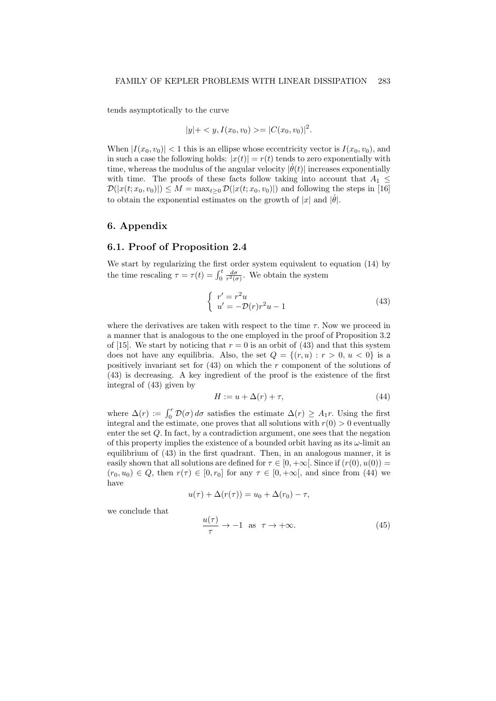tends asymptotically to the curve

$$
|y|+< y, I(x_0, v_0)>=[C(x_0, v_0)]^2.
$$

When  $|I(x_0, v_0)| < 1$  this is an ellipse whose eccentricity vector is  $I(x_0, v_0)$ , and in such a case the following holds:  $|x(t)| = r(t)$  tends to zero exponentially with time, whereas the modulus of the angular velocity  $|\dot{\theta}(t)|$  increases exponentially with time. The proofs of these facts follow taking into account that  $A_1 \leq$  $\mathcal{D}(|x(t; x_0, v_0)|) \leq M = \max_{t>0} \mathcal{D}(|x(t; x_0, v_0)|)$  and following the steps in [16] to obtain the exponential estimates on the growth of |x| and  $|\dot{\theta}|$ .

## 6. Appendix

## 6.1. Proof of Proposition 2.4

We start by regularizing the first order system equivalent to equation (14) by the time rescaling  $\tau = \tau(t) = \int_0^t \frac{d\sigma}{r^2(\sigma)}$ . We obtain the system

$$
\begin{cases}\nr' = r^2 u \\
u' = -\mathcal{D}(r)r^2 u - 1\n\end{cases}
$$
\n(43)

where the derivatives are taken with respect to the time  $\tau$ . Now we proceed in a manner that is analogous to the one employed in the proof of Proposition 3.2 of [15]. We start by noticing that  $r = 0$  is an orbit of (43) and that this system does not have any equilibria. Also, the set  $Q = \{(r, u) : r > 0, u < 0\}$  is a positively invariant set for  $(43)$  on which the r component of the solutions of (43) is decreasing. A key ingredient of the proof is the existence of the first integral of (43) given by

$$
H := u + \Delta(r) + \tau,\tag{44}
$$

where  $\Delta(r) := \int_0^r \mathcal{D}(\sigma) d\sigma$  satisfies the estimate  $\Delta(r) \geq A_1 r$ . Using the first integral and the estimate, one proves that all solutions with  $r(0) > 0$  eventually enter the set Q. In fact, by a contradiction argument, one sees that the negation of this property implies the existence of a bounded orbit having as its  $\omega$ -limit an equilibrium of (43) in the first quadrant. Then, in an analogous manner, it is easily shown that all solutions are defined for  $\tau \in [0, +\infty]$ . Since if  $(r(0), u(0)) =$  $(r_0, u_0) \in Q$ , then  $r(\tau) \in [0, r_0]$  for any  $\tau \in [0, +\infty)$ , and since from (44) we have

$$
u(\tau) + \Delta(r(\tau)) = u_0 + \Delta(r_0) - \tau,
$$

we conclude that

$$
\frac{u(\tau)}{\tau} \to -1 \quad \text{as} \quad \tau \to +\infty. \tag{45}
$$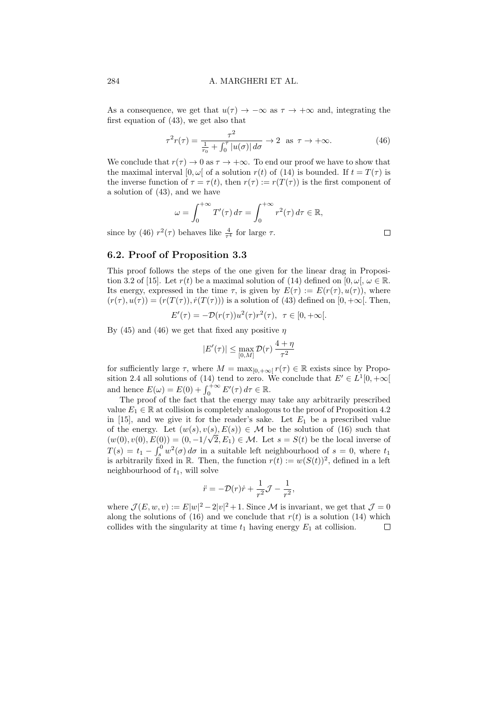As a consequence, we get that  $u(\tau) \to -\infty$  as  $\tau \to +\infty$  and, integrating the first equation of (43), we get also that

$$
\tau^2 r(\tau) = \frac{\tau^2}{\frac{1}{r_0} + \int_0^{\tau} |u(\sigma)| d\sigma} \to 2 \quad \text{as} \quad \tau \to +\infty. \tag{46}
$$

We conclude that  $r(\tau) \to 0$  as  $\tau \to +\infty$ . To end our proof we have to show that the maximal interval  $[0, \omega]$  of a solution  $r(t)$  of (14) is bounded. If  $t = T(\tau)$  is the inverse function of  $\tau = \tau(t)$ , then  $r(\tau) := r(T(\tau))$  is the first component of a solution of (43), and we have

$$
\omega = \int_0^{+\infty} T'(\tau) d\tau = \int_0^{+\infty} r^2(\tau) d\tau \in \mathbb{R},
$$

since by (46)  $r^2(\tau)$  behaves like  $\frac{4}{\tau^4}$  for large  $\tau$ .

# 6.2. Proof of Proposition 3.3

This proof follows the steps of the one given for the linear drag in Proposition 3.2 of [15]. Let  $r(t)$  be a maximal solution of (14) defined on [0,  $\omega$ [,  $\omega \in \mathbb{R}$ . Its energy, expressed in the time  $\tau$ , is given by  $E(\tau) := E(r(\tau), u(\tau))$ , where  $(r(\tau), u(\tau)) = (r(T(\tau)), \dot{r}(T(\tau)))$  is a solution of (43) defined on [0, + $\infty$ [. Then,

$$
E'(\tau) = -\mathcal{D}(r(\tau))u^2(\tau)r^2(\tau), \ \ \tau \in [0, +\infty[.
$$

By (45) and (46) we get that fixed any positive  $\eta$ 

$$
|E'(\tau)| \le \max_{[0,M]} \mathcal{D}(r) \frac{4+\eta}{\tau^2}
$$

for sufficiently large  $\tau$ , where  $M = \max_{[0, +\infty]} r(\tau) \in \mathbb{R}$  exists since by Proposition 2.4 all solutions of (14) tend to zero. We conclude that  $E' \in L^1[0, +\infty]$ and hence  $E(\omega) = E(0) + \int_0^{+\infty} E'(\tau) d\tau \in \mathbb{R}$ .

The proof of the fact that the energy may take any arbitrarily prescribed value  $E_1 \in \mathbb{R}$  at collision is completely analogous to the proof of Proposition 4.2 in [15], and we give it for the reader's sake. Let  $E_1$  be a prescribed value of the energy. Let  $(w(s), v(s), E(s)) \in \mathcal{M}$  be the solution of (16) such that  $(w(0), v(0), E(0)) = (0, -1/\sqrt{2}, E_1) \in \mathcal{M}$ . Let  $s = S(t)$  be the local inverse of  $T(s) = t_1 - \int_s^0 w^2(\sigma) d\sigma$  in a suitable left neighbourhood of  $s = 0$ , where  $t_1$ is arbitrarily fixed in R. Then, the function  $r(t) := w(S(t))^2$ , defined in a left neighbourhood of  $t_1$ , will solve

$$
\ddot{r} = -\mathcal{D}(r)\dot{r} + \frac{1}{r^2}\mathcal{J} - \frac{1}{r^2},
$$

where  $\mathcal{J}(E, w, v) := E|w|^2 - 2|v|^2 + 1$ . Since M is invariant, we get that  $\mathcal{J} = 0$ along the solutions of (16) and we conclude that  $r(t)$  is a solution (14) which collides with the singularity at time  $t_1$  having energy  $E_1$  at collision.  $\Box$ 

 $\Box$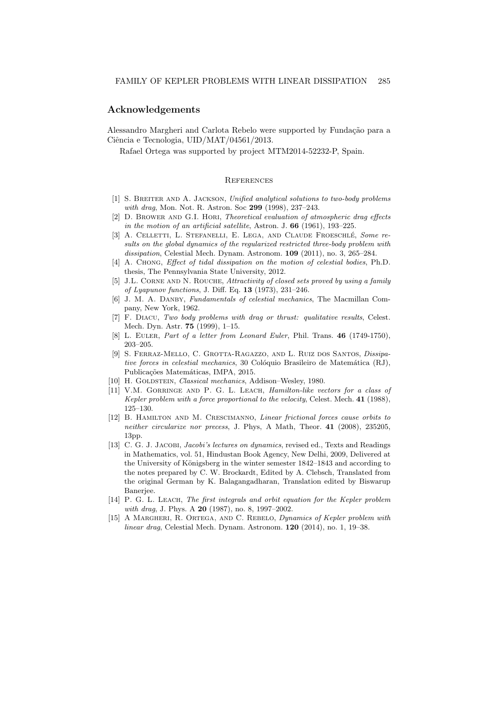## Acknowledgements

Alessandro Margheri and Carlota Rebelo were supported by Fundação para a Ciência e Tecnologia, UID/MAT/04561/2013.

Rafael Ortega was supported by project MTM2014-52232-P, Spain.

## **REFERENCES**

- [1] S. Breiter and A. Jackson, Unified analytical solutions to two-body problems with drag, Mon. Not. R. Astron. Soc 299 (1998), 237-243.
- [2] D. Brower and G.I. Hori, Theoretical evaluation of atmospheric drag effects in the motion of an artificial satellite, Astron. J. 66 (1961), 193–225.
- [3] A. CELLETTI, L. STEFANELLI, E. LEGA, AND CLAUDE FROESCHLÉ, Some results on the global dynamics of the regularized restricted three-body problem with dissipation, Celestial Mech. Dynam. Astronom. 109 (2011), no. 3, 265–284.
- [4] A. Chong, Effect of tidal dissipation on the motion of celestial bodies, Ph.D. thesis, The Pennsylvania State University, 2012.
- [5] J.L. CORNE AND N. ROUCHE, Attractivity of closed sets proved by using a family of Lyapunov functions, J. Diff. Eq.  $13$  (1973), 231–246.
- [6] J. M. A. Danby, Fundamentals of celestial mechanics, The Macmillan Company, New York, 1962.
- [7] F. Diacu, Two body problems with drag or thrust: qualitative results, Celest. Mech. Dyn. Astr. 75 (1999), 1–15.
- [8] L. EULER, Part of a letter from Leonard Euler, Phil. Trans. 46 (1749-1750), 203–205.
- [9] S. Ferraz-Mello, C. Grotta-Ragazzo, and L. Ruiz dos Santos, Dissipative forces in celestial mechanics, 30 Colóquio Brasileiro de Matemática (RJ), Publicações Matemáticas, IMPA, 2015.
- [10] H. GOLDSTEIN, Classical mechanics, Addison-Wesley, 1980.
- [11] V.M. GORRINGE AND P. G. L. LEACH, *Hamilton-like vectors for a class of* Kepler problem with a force proportional to the velocity, Celest. Mech. 41 (1988), 125–130.
- [12] B. Hamilton and M. Crescimanno, Linear frictional forces cause orbits to neither circularize nor precess, J. Phys, A Math, Theor. 41 (2008), 235205, 13pp.
- [13] C. G. J. JACOBI, *Jacobi's lectures on dynamics*, revised ed., Texts and Readings in Mathematics, vol. 51, Hindustan Book Agency, New Delhi, 2009, Delivered at the University of Königsberg in the winter semester 1842–1843 and according to the notes prepared by C. W. Brockardt, Edited by A. Clebsch, Translated from the original German by K. Balagangadharan, Translation edited by Biswarup Banerjee.
- [14] P. G. L. LEACH, The first integrals and orbit equation for the Kepler problem with drag, J. Phys. A **20** (1987), no. 8, 1997–2002.
- [15] A MARGHERI, R. ORTEGA, AND C. REBELO, Dynamics of Kepler problem with linear drag, Celestial Mech. Dynam. Astronom. 120 (2014), no. 1, 19–38.